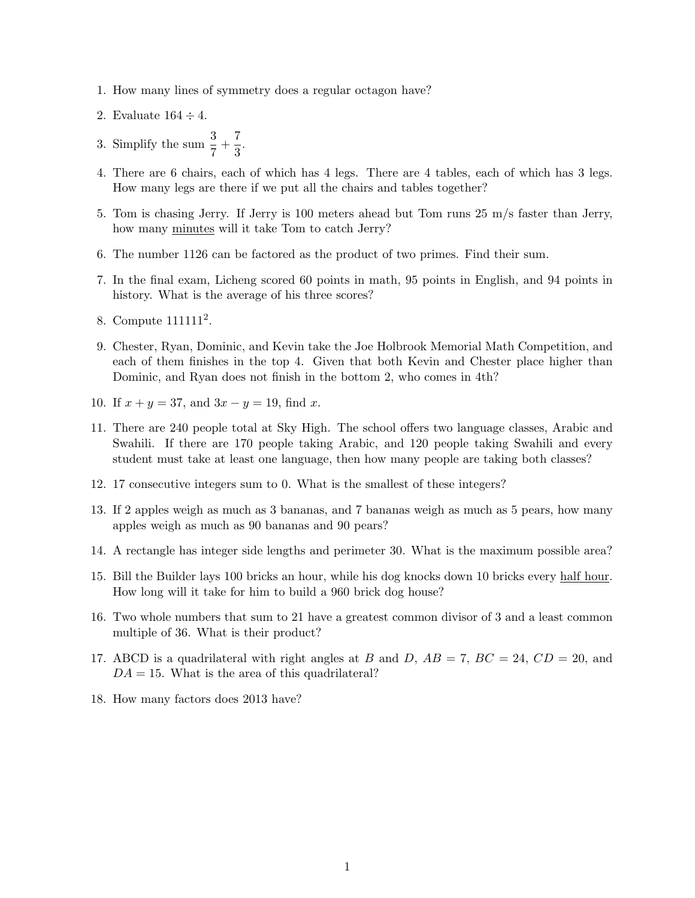- 1. How many lines of symmetry does a regular octagon have?
- 2. Evaluate  $164 \div 4$ .
- 3. Simplify the sum  $\frac{3}{7} + \frac{7}{3}$  $\frac{1}{3}$ .
- 4. There are 6 chairs, each of which has 4 legs. There are 4 tables, each of which has 3 legs. How many legs are there if we put all the chairs and tables together?
- 5. Tom is chasing Jerry. If Jerry is 100 meters ahead but Tom runs 25 m/s faster than Jerry, how many minutes will it take Tom to catch Jerry?
- 6. The number 1126 can be factored as the product of two primes. Find their sum.
- 7. In the final exam, Licheng scored 60 points in math, 95 points in English, and 94 points in history. What is the average of his three scores?
- 8. Compute 111111<sup>2</sup>.
- 9. Chester, Ryan, Dominic, and Kevin take the Joe Holbrook Memorial Math Competition, and each of them finishes in the top 4. Given that both Kevin and Chester place higher than Dominic, and Ryan does not finish in the bottom 2, who comes in 4th?
- 10. If  $x + y = 37$ , and  $3x y = 19$ , find x.
- 11. There are 240 people total at Sky High. The school offers two language classes, Arabic and Swahili. If there are 170 people taking Arabic, and 120 people taking Swahili and every student must take at least one language, then how many people are taking both classes?
- 12. 17 consecutive integers sum to 0. What is the smallest of these integers?
- 13. If 2 apples weigh as much as 3 bananas, and 7 bananas weigh as much as 5 pears, how many apples weigh as much as 90 bananas and 90 pears?
- 14. A rectangle has integer side lengths and perimeter 30. What is the maximum possible area?
- 15. Bill the Builder lays 100 bricks an hour, while his dog knocks down 10 bricks every half hour. How long will it take for him to build a 960 brick dog house?
- 16. Two whole numbers that sum to 21 have a greatest common divisor of 3 and a least common multiple of 36. What is their product?
- 17. ABCD is a quadrilateral with right angles at B and D,  $AB = 7$ ,  $BC = 24$ ,  $CD = 20$ , and  $DA = 15$ . What is the area of this quadrilateral?
- 18. How many factors does 2013 have?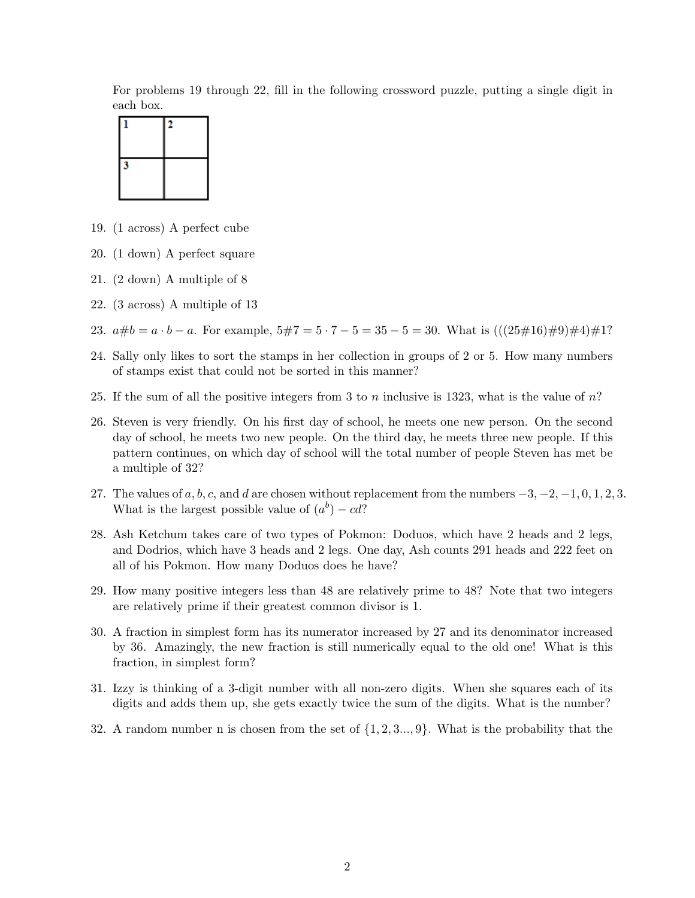For problems 19 through 22, fill in the following crossword puzzle, putting a single digit in each box.



- 19. (1 across) A perfect cube
- 20. (1 down) A perfect square
- 21. (2 down) A multiple of 8
- 22. (3 across) A multiple of 13
- 23.  $a\#b = a \cdot b a$ . For example,  $5\#7 = 5 \cdot 7 5 = 35 5 = 30$ . What is  $(((25\#16)\#9)\#4)\#1$ ?
- 24. Sally only likes to sort the stamps in her collection in groups of 2 or 5. How many numbers of stamps exist that could not be sorted in this manner?
- 25. If the sum of all the positive integers from 3 to n inclusive is 1323, what is the value of  $n$ ?
- 26. Steven is very friendly. On his first day of school, he meets one new person. On the second day of school, he meets two new people. On the third day, he meets three new people. If this pattern continues, on which day of school will the total number of people Steven has met be a multiple of 32?
- 27. The values of  $a, b, c$ , and d are chosen without replacement from the numbers  $-3, -2, -1, 0, 1, 2, 3$ . What is the largest possible value of  $(a^b) - cd$ ?
- 28. Ash Ketchum takes care of two types of Pokmon: Doduos, which have 2 heads and 2 legs, and Dodrios, which have 3 heads and 2 legs. One day, Ash counts 291 heads and 222 feet on all of his Pokmon. How many Doduos does he have?
- 29. How many positive integers less than 48 are relatively prime to 48? Note that two integers are relatively prime if their greatest common divisor is 1.
- 30. A fraction in simplest form has its numerator increased by 27 and its denominator increased by 36. Amazingly, the new fraction is still numerically equal to the old one! What is this fraction, in simplest form?
- 31. Izzy is thinking of a 3-digit number with all non-zero digits. When she squares each of its digits and adds them up, she gets exactly twice the sum of the digits. What is the number?
- 32. A random number n is chosen from the set of  $\{1, 2, 3, \ldots, 9\}$ . What is the probability that the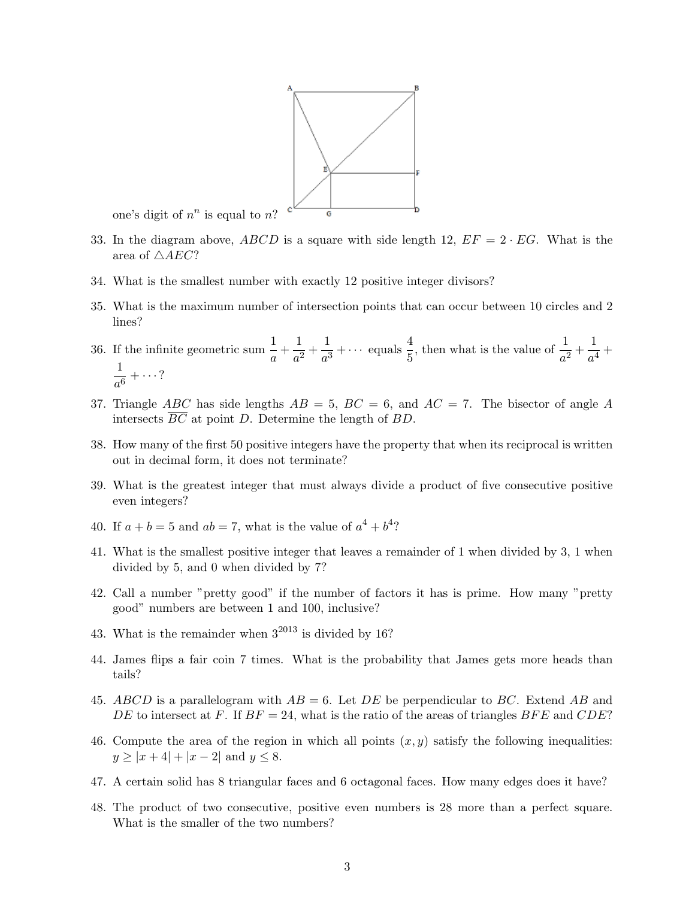

one's digit of  $n^n$  is equal to n?

- 33. In the diagram above, ABCD is a square with side length 12,  $EF = 2 \cdot EG$ . What is the area of  $\triangle AEC?$
- 34. What is the smallest number with exactly 12 positive integer divisors?
- 35. What is the maximum number of intersection points that can occur between 10 circles and 2 lines?
- 36. If the infinite geometric sum  $\frac{1}{a} + \frac{1}{a^2}$  $\frac{1}{a^2} + \frac{1}{a^3}$  $\frac{1}{a^3} + \cdots$  equals  $\frac{4}{5}$ , then what is the value of  $\frac{1}{a^2} + \frac{1}{a^4}$  $\frac{1}{a^4}$  + 1  $\frac{1}{a^6} + \cdots$  ?
- 37. Triangle ABC has side lengths  $AB = 5$ ,  $BC = 6$ , and  $AC = 7$ . The bisector of angle A intersects  $\overline{BC}$  at point D. Determine the length of BD.
- 38. How many of the first 50 positive integers have the property that when its reciprocal is written out in decimal form, it does not terminate?
- 39. What is the greatest integer that must always divide a product of five consecutive positive even integers?
- 40. If  $a + b = 5$  and  $ab = 7$ , what is the value of  $a^4 + b^4$ ?
- 41. What is the smallest positive integer that leaves a remainder of 1 when divided by 3, 1 when divided by 5, and 0 when divided by 7?
- 42. Call a number "pretty good" if the number of factors it has is prime. How many "pretty good" numbers are between 1 and 100, inclusive?
- 43. What is the remainder when  $3^{2013}$  is divided by 16?
- 44. James flips a fair coin 7 times. What is the probability that James gets more heads than tails?
- 45. ABCD is a parallelogram with  $AB = 6$ . Let DE be perpendicular to BC. Extend AB and DE to intersect at F. If  $BF = 24$ , what is the ratio of the areas of triangles  $BFE$  and  $CDE$ ?
- 46. Compute the area of the region in which all points  $(x, y)$  satisfy the following inequalities:  $y \ge |x+4| + |x-2|$  and  $y \le 8$ .
- 47. A certain solid has 8 triangular faces and 6 octagonal faces. How many edges does it have?
- 48. The product of two consecutive, positive even numbers is 28 more than a perfect square. What is the smaller of the two numbers?